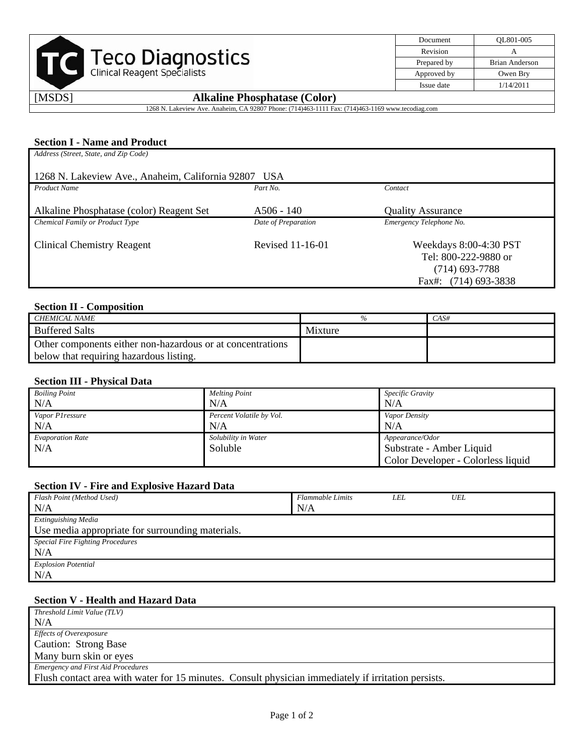

| Document    | OL801-005             |
|-------------|-----------------------|
| Revision    |                       |
| Prepared by | <b>Brian Anderson</b> |
| Approved by | Owen Bry              |
| Issue date  | 1/14/2011             |

# [MSDS] **Alkaline Phosphatase (Color)**

1268 N. Lakeview Ave. Anaheim, CA 92807 Phone: (714)463-1111 Fax: (714)463-1169 www.tecodiag.com

# **Section I - Name and Product**

| Address (Street, State, and Zip Code)                |                     |                                                                                            |  |  |  |
|------------------------------------------------------|---------------------|--------------------------------------------------------------------------------------------|--|--|--|
| 1268 N. Lakeview Ave., Anaheim, California 92807 USA |                     |                                                                                            |  |  |  |
| <b>Product Name</b>                                  | Part No.            | Contact                                                                                    |  |  |  |
| Alkaline Phosphatase (color) Reagent Set             | $A506 - 140$        | <b>Quality Assurance</b>                                                                   |  |  |  |
| Chemical Family or Product Type                      | Date of Preparation | Emergency Telephone No.                                                                    |  |  |  |
| <b>Clinical Chemistry Reagent</b>                    | Revised 11-16-01    | Weekdays 8:00-4:30 PST<br>Tel: 800-222-9880 or<br>$(714)$ 693-7788<br>Fax#: (714) 693-3838 |  |  |  |

#### **Section II - Composition**

| CHEMICAL NAME                                              |         | CAS# |
|------------------------------------------------------------|---------|------|
| <b>Buffered Salts</b>                                      | Mixture |      |
| Other components either non-hazardous or at concentrations |         |      |
| below that requiring hazardous listing.                    |         |      |

#### **Section III - Physical Data**

| <b>Boiling Point</b>    | <b>Melting Point</b>     | Specific Gravity                   |
|-------------------------|--------------------------|------------------------------------|
| N/A                     | N/A                      | N/A                                |
| Vapor P1 ressure        | Percent Volatile by Vol. | Vapor Density                      |
| N/A                     | N/A                      | N/A                                |
| <b>Evaporation Rate</b> | Solubility in Water      | Appearance/Odor                    |
| N/A                     | Soluble                  | Substrate - Amber Liquid           |
|                         |                          | Color Developer - Colorless liquid |

## **Section IV - Fire and Explosive Hazard Data**

| Flash Point (Method Used)                        | <b>Flammable Limits</b> | LEL | <b>UEL</b> |  |
|--------------------------------------------------|-------------------------|-----|------------|--|
| N/A                                              | N/A                     |     |            |  |
| Extinguishing Media                              |                         |     |            |  |
| Use media appropriate for surrounding materials. |                         |     |            |  |
| <b>Special Fire Fighting Procedures</b>          |                         |     |            |  |
| N/A                                              |                         |     |            |  |
| <b>Explosion Potential</b>                       |                         |     |            |  |
| N/A                                              |                         |     |            |  |

## **Section V - Health and Hazard Data**

| Threshold Limit Value (TLV)                                                                         |
|-----------------------------------------------------------------------------------------------------|
| N/A                                                                                                 |
| <i>Effects of Overexposure</i>                                                                      |
| Caution: Strong Base                                                                                |
| Many burn skin or eyes                                                                              |
| <b>Emergency and First Aid Procedures</b>                                                           |
| Flush contact area with water for 15 minutes. Consult physician immediately if irritation persists. |